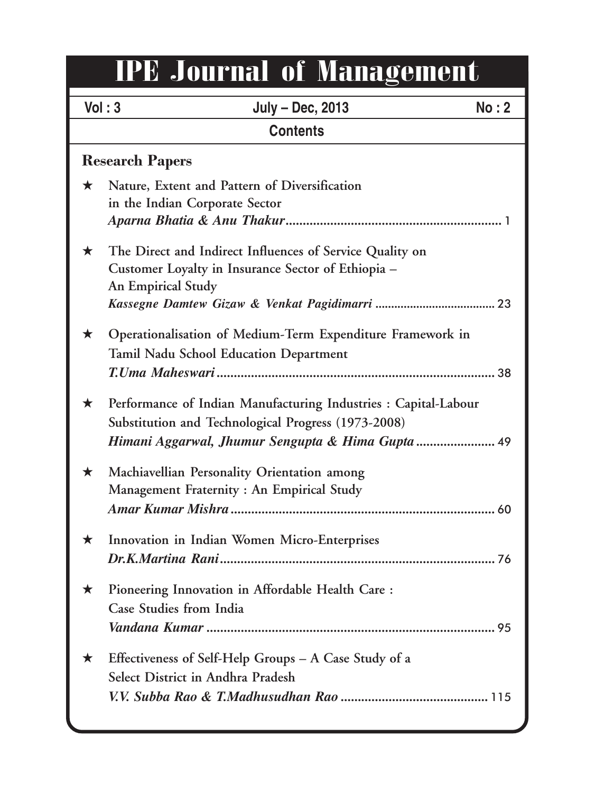# IPE Journal of Management

|                        | Vol: 3<br><b>July - Dec, 2013</b><br>No: 2                                                                                                  |  |
|------------------------|---------------------------------------------------------------------------------------------------------------------------------------------|--|
|                        | <b>Contents</b>                                                                                                                             |  |
| <b>Research Papers</b> |                                                                                                                                             |  |
| $\star$                | Nature, Extent and Pattern of Diversification<br>in the Indian Corporate Sector                                                             |  |
| $\star$                | The Direct and Indirect Influences of Service Quality on<br>Customer Loyalty in Insurance Sector of Ethiopia –<br><b>An Empirical Study</b> |  |
| ★                      | Operationalisation of Medium-Term Expenditure Framework in<br><b>Tamil Nadu School Education Department</b>                                 |  |
| ★                      | Performance of Indian Manufacturing Industries : Capital-Labour<br>Substitution and Technological Progress (1973-2008)                      |  |
| ★                      | Machiavellian Personality Orientation among<br>Management Fraternity: An Empirical Study                                                    |  |
| ★                      | Innovation in Indian Women Micro-Enterprises                                                                                                |  |
| ★                      | Pioneering Innovation in Affordable Health Care:<br>Case Studies from India                                                                 |  |
| ★                      | Effectiveness of Self-Help Groups - A Case Study of a<br>Select District in Andhra Pradesh                                                  |  |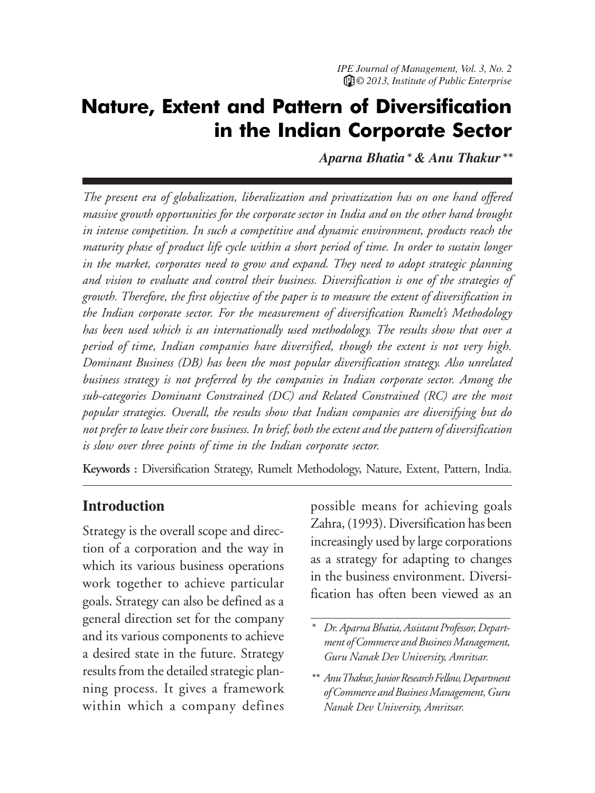### Nature, Extent and Pattern of Diversification in the Indian Corporate Sector

*Aparna Bhatia\* & Anu Thakur\*\**

*The present era of globalization, liberalization and privatization has on one hand offered massive growth opportunities for the corporate sector in India and on the other hand brought in intense competition. In such a competitive and dynamic environment, products reach the maturity phase of product life cycle within a short period of time. In order to sustain longer in the market, corporates need to grow and expand. They need to adopt strategic planning and vision to evaluate and control their business. Diversification is one of the strategies of growth. Therefore, the first objective of the paper is to measure the extent of diversification in the Indian corporate sector. For the measurement of diversification Rumelt's Methodology has been used which is an internationally used methodology. The results show that over a period of time, Indian companies have diversified, though the extent is not very high. Dominant Business (DB) has been the most popular diversification strategy. Also unrelated business strategy is not preferred by the companies in Indian corporate sector. Among the sub-categories Dominant Constrained (DC) and Related Constrained (RC) are the most popular strategies. Overall, the results show that Indian companies are diversifying but do not prefer to leave their core business. In brief, both the extent and the pattern of diversification is slow over three points of time in the Indian corporate sector.*

**Keywords :** Diversification Strategy, Rumelt Methodology, Nature, Extent, Pattern, India.

#### **Introduction**

Strategy is the overall scope and direction of a corporation and the way in which its various business operations work together to achieve particular goals. Strategy can also be defined as a general direction set for the company and its various components to achieve a desired state in the future. Strategy results from the detailed strategic planning process. It gives a framework within which a company defines possible means for achieving goals Zahra, (1993). Diversification has been increasingly used by large corporations as a strategy for adapting to changes in the business environment. Diversification has often been viewed as an

*<sup>\*</sup> Dr. Aparna Bhatia, Assistant Professor, Department of Commerce and Business Management, Guru Nanak Dev University, Amritsar.*

*<sup>\*\*</sup> Anu Thakur, Junior Research Fellow, Department of Commerce and Business Management, Guru Nanak Dev University, Amritsar.*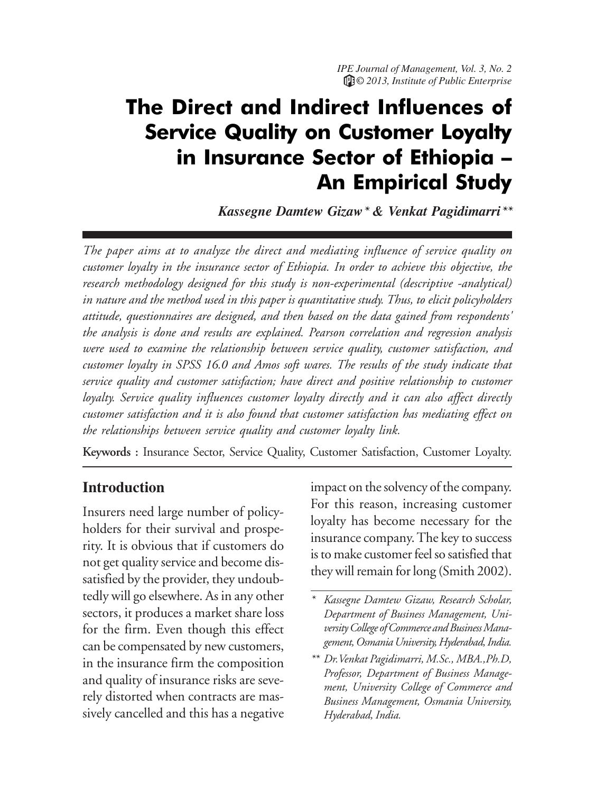# The Direct and Indirect Influences of Service Quality on Customer Loyalty in Insurance Sector of Ethiopia – An Empirical Study

*Kassegne Damtew Gizaw\* & Venkat Pagidimarri\*\**

*The paper aims at to analyze the direct and mediating influence of service quality on customer loyalty in the insurance sector of Ethiopia. In order to achieve this objective, the research methodology designed for this study is non-experimental (descriptive -analytical) in nature and the method used in this paper is quantitative study. Thus, to elicit policyholders attitude, questionnaires are designed, and then based on the data gained from respondents' the analysis is done and results are explained. Pearson correlation and regression analysis were used to examine the relationship between service quality, customer satisfaction, and customer loyalty in SPSS 16.0 and Amos soft wares. The results of the study indicate that service quality and customer satisfaction; have direct and positive relationship to customer loyalty. Service quality influences customer loyalty directly and it can also affect directly customer satisfaction and it is also found that customer satisfaction has mediating effect on the relationships between service quality and customer loyalty link.*

**Keywords :** Insurance Sector, Service Quality, Customer Satisfaction, Customer Loyalty.

#### **Introduction**

Insurers need large number of policyholders for their survival and prosperity. It is obvious that if customers do not get quality service and become dissatisfied by the provider, they undoubtedly will go elsewhere. As in any other sectors, it produces a market share loss for the firm. Even though this effect can be compensated by new customers, in the insurance firm the composition and quality of insurance risks are severely distorted when contracts are massively cancelled and this has a negative

impact on the solvency of the company. For this reason, increasing customer loyalty has become necessary for the insurance company. The key to success is to make customer feel so satisfied that they will remain for long (Smith 2002).

*<sup>\*</sup> Kassegne Damtew Gizaw, Research Scholar, Department of Business Management, University College of Commerce and Business Management, Osmania University, Hyderabad, India.*

*<sup>\*\*</sup> Dr.Venkat Pagidimarri, M.Sc., MBA.,Ph.D, Professor, Department of Business Management, University College of Commerce and Business Management, Osmania University, Hyderabad, India.*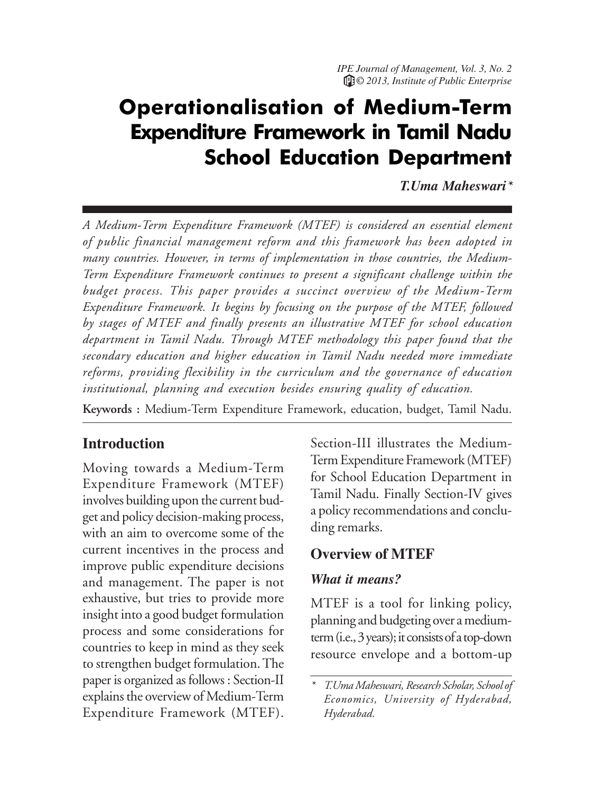# Operationalisation of Medium-Term Expenditure Framework in Tamil Nadu School Education Department

*T.Uma Maheswari\**

*A Medium-Term Expenditure Framework (MTEF) is considered an essential element of public financial management reform and this framework has been adopted in many countries. However, in terms of implementation in those countries, the Medium-Term Expenditure Framework continues to present a significant challenge within the budget process. This paper provides a succinct overview of the Medium-Term Expenditure Framework. It begins by focusing on the purpose of the MTEF, followed by stages of MTEF and finally presents an illustrative MTEF for school education department in Tamil Nadu. Through MTEF methodology this paper found that the secondary education and higher education in Tamil Nadu needed more immediate reforms, providing flexibility in the curriculum and the governance of education institutional, planning and execution besides ensuring quality of education.*

**Keywords :** Medium-Term Expenditure Framework, education, budget, Tamil Nadu.

#### **Introduction**

Moving towards a Medium-Term Expenditure Framework (MTEF) involves building upon the current budget and policy decision-making process, with an aim to overcome some of the current incentives in the process and improve public expenditure decisions and management. The paper is not exhaustive, but tries to provide more insight into a good budget formulation process and some considerations for countries to keep in mind as they seek to strengthen budget formulation. The paper is organized as follows : Section-II explains the overview of Medium-Term Expenditure Framework (MTEF).

Section-III illustrates the Medium-Term Expenditure Framework (MTEF) for School Education Department in Tamil Nadu. Finally Section-IV gives a policy recommendations and concluding remarks.

#### **Overview of MTEF**

#### *What it means?*

MTEF is a tool for linking policy, planning and budgeting over a mediumterm (i.e., 3 years); it consists of a top-down resource envelope and a bottom-up

*<sup>\*</sup> T.Uma Maheswari, Research Scholar, School of Economics, University of Hyderabad, Hyderabad.*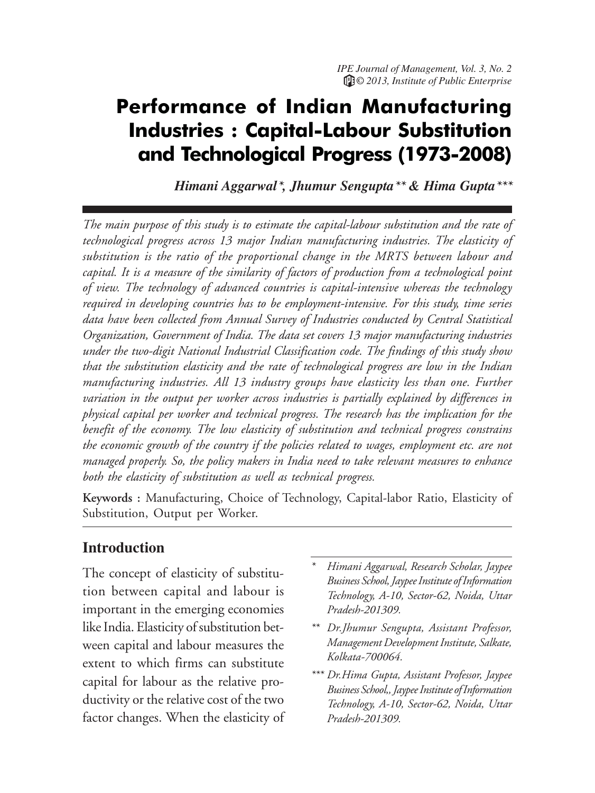### Performance of Indian Manufacturing Industries : Capital-Labour Substitution and Technological Progress (1973-2008)

*Himani Aggarwal\*, Jhumur Sengupta\*\* & Hima Gupta\*\*\**

*The main purpose of this study is to estimate the capital-labour substitution and the rate of technological progress across 13 major Indian manufacturing industries. The elasticity of substitution is the ratio of the proportional change in the MRTS between labour and capital. It is a measure of the similarity of factors of production from a technological point of view. The technology of advanced countries is capital-intensive whereas the technology required in developing countries has to be employment-intensive. For this study, time series data have been collected from Annual Survey of Industries conducted by Central Statistical Organization, Government of India. The data set covers 13 major manufacturing industries under the two-digit National Industrial Classification code. The findings of this study show that the substitution elasticity and the rate of technological progress are low in the Indian manufacturing industries. All 13 industry groups have elasticity less than one. Further variation in the output per worker across industries is partially explained by differences in physical capital per worker and technical progress. The research has the implication for the benefit of the economy. The low elasticity of substitution and technical progress constrains the economic growth of the country if the policies related to wages, employment etc. are not managed properly. So, the policy makers in India need to take relevant measures to enhance both the elasticity of substitution as well as technical progress.*

**Keywords :** Manufacturing, Choice of Technology, Capital-labor Ratio, Elasticity of Substitution, Output per Worker.

#### **Introduction**

The concept of elasticity of substitution between capital and labour is important in the emerging economies like India. Elasticity of substitution between capital and labour measures the extent to which firms can substitute capital for labour as the relative productivity or the relative cost of the two factor changes. When the elasticity of

- *\* Himani Aggarwal, Research Scholar, Jaypee Business School, Jaypee Institute of Information Technology, A-10, Sector-62, Noida, Uttar Pradesh-201309.*
- *\*\* Dr.Jhumur Sengupta, Assistant Professor, Management Development Institute, Salkate, Kolkata-700064.*
- *\*\*\* Dr.Hima Gupta, Assistant Professor, Jaypee Business School,, Jaypee Institute of Information Technology, A-10, Sector-62, Noida, Uttar Pradesh-201309.*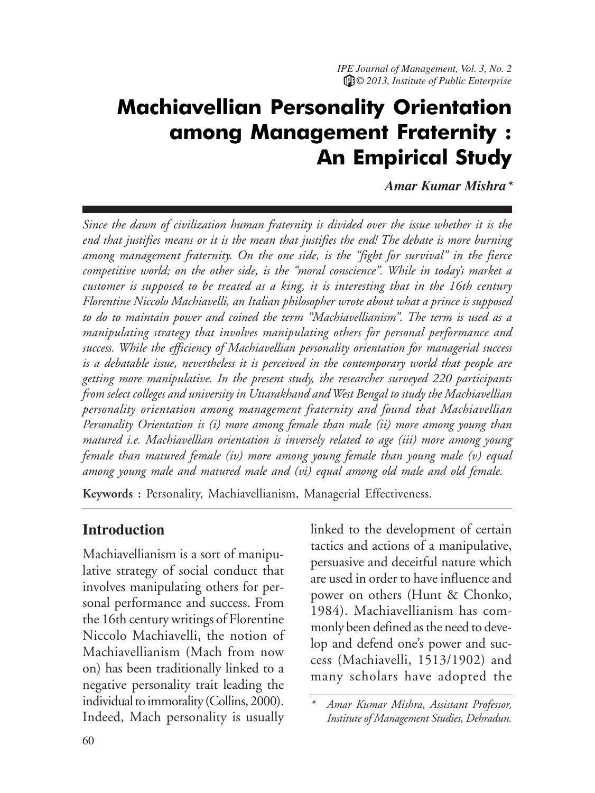# Machiavellian Personality Orientation among Management Fraternity : An Empirical Study

*Amar Kumar Mishra\**

*Since the dawn of civilization human fraternity is divided over the issue whether it is the end that justifies means or it is the mean that justifies the end! The debate is more burning among management fraternity. On the one side, is the "fight for survival" in the fierce competitive world; on the other side, is the "moral conscience". While in today's market a customer is supposed to be treated as a king, it is interesting that in the 16th century Florentine Niccolo Machiavelli, an Italian philosopher wrote about what a prince is supposed to do to maintain power and coined the term "Machiavellianism". The term is used as a manipulating strategy that involves manipulating others for personal performance and success. While the efficiency of Machiavellian personality orientation for managerial success is a debatable issue, nevertheless it is perceived in the contemporary world that people are getting more manipulative. In the present study, the researcher surveyed 220 participants from select colleges and university in Uttarakhand and West Bengal to study the Machiavellian personality orientation among management fraternity and found that Machiavellian Personality Orientation is (i) more among female than male (ii) more among young than matured i.e. Machiavellian orientation is inversely related to age (iii) more among young female than matured female (iv) more among young female than young male (v) equal among young male and matured male and (vi) equal among old male and old female.*

**Keywords :** Personality, Machiavellianism, Managerial Effectiveness.

#### **Introduction**

Machiavellianism is a sort of manipulative strategy of social conduct that involves manipulating others for personal performance and success. From the 16th century writings of Florentine Niccolo Machiavelli, the notion of Machiavellianism (Mach from now on) has been traditionally linked to a negative personality trait leading the individual to immorality (Collins, 2000). Indeed, Mach personality is usually

linked to the development of certain tactics and actions of a manipulative, persuasive and deceitful nature which are used in order to have influence and power on others (Hunt & Chonko, 1984). Machiavellianism has commonly been defined as the need to develop and defend one's power and success (Machiavelli, 1513/1902) and many scholars have adopted the

*<sup>\*</sup> Amar Kumar Mishra, Assistant Professor, Institute of Management Studies, Dehradun.*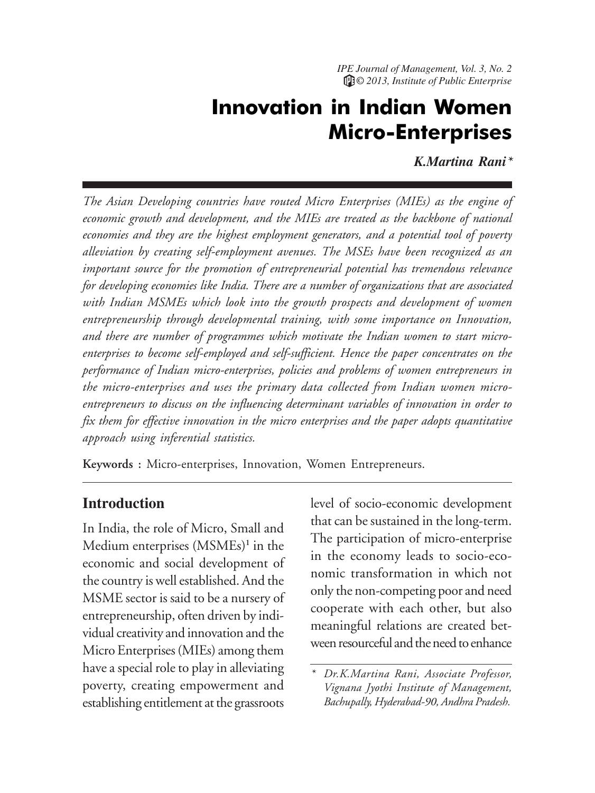## Innovation in Indian Women Micro-Enterprises

*K.Martina Rani\**

*The Asian Developing countries have routed Micro Enterprises (MIEs) as the engine of economic growth and development, and the MIEs are treated as the backbone of national economies and they are the highest employment generators, and a potential tool of poverty alleviation by creating self-employment avenues. The MSEs have been recognized as an important source for the promotion of entrepreneurial potential has tremendous relevance for developing economies like India. There are a number of organizations that are associated with Indian MSMEs which look into the growth prospects and development of women entrepreneurship through developmental training, with some importance on Innovation, and there are number of programmes which motivate the Indian women to start microenterprises to become self-employed and self-sufficient. Hence the paper concentrates on the performance of Indian micro-enterprises, policies and problems of women entrepreneurs in the micro-enterprises and uses the primary data collected from Indian women microentrepreneurs to discuss on the influencing determinant variables of innovation in order to fix them for effective innovation in the micro enterprises and the paper adopts quantitative approach using inferential statistics.*

**Keywords :** Micro-enterprises, Innovation, Women Entrepreneurs.

#### **Introduction**

In India, the role of Micro, Small and Medium enterprises (MSMEs)**<sup>1</sup>** in the economic and social development of the country is well established. And the MSME sector is said to be a nursery of entrepreneurship, often driven by individual creativity and innovation and the Micro Enterprises (MIEs) among them have a special role to play in alleviating poverty, creating empowerment and establishing entitlement at the grassroots

level of socio-economic development that can be sustained in the long-term. The participation of micro-enterprise in the economy leads to socio-economic transformation in which not only the non-competing poor and need cooperate with each other, but also meaningful relations are created between resourceful and the need to enhance

*<sup>\*</sup> Dr.K.Martina Rani, Associate Professor, Vignana Jyothi Institute of Management, Bachupally, Hyderabad-90, Andhra Pradesh.*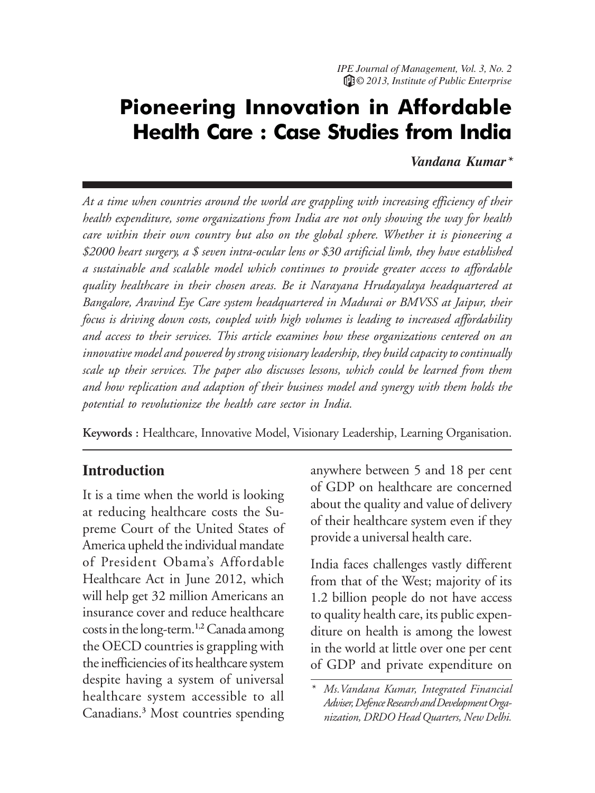## Pioneering Innovation in Affordable Health Care : Case Studies from India

*Vandana Kumar\**

*At a time when countries around the world are grappling with increasing efficiency of their health expenditure, some organizations from India are not only showing the way for health care within their own country but also on the global sphere. Whether it is pioneering a \$2000 heart surgery, a \$ seven intra-ocular lens or \$30 artificial limb, they have established a sustainable and scalable model which continues to provide greater access to affordable quality healthcare in their chosen areas. Be it Narayana Hrudayalaya headquartered at Bangalore, Aravind Eye Care system headquartered in Madurai or BMVSS at Jaipur, their focus is driving down costs, coupled with high volumes is leading to increased affordability and access to their services. This article examines how these organizations centered on an innovative model and powered by strong visionary leadership, they build capacity to continually scale up their services. The paper also discusses lessons, which could be learned from them and how replication and adaption of their business model and synergy with them holds the potential to revolutionize the health care sector in India.*

**Keywords :** Healthcare, Innovative Model, Visionary Leadership, Learning Organisation.

#### **Introduction**

It is a time when the world is looking at reducing healthcare costs the Supreme Court of the United States of America upheld the individual mandate of President Obama's Affordable Healthcare Act in June 2012, which will help get 32 million Americans an insurance cover and reduce healthcare costs in the long-term.**1,2** Canada among the OECD countries is grappling with the inefficiencies of its healthcare system despite having a system of universal healthcare system accessible to all Canadians.**<sup>3</sup>** Most countries spending

anywhere between 5 and 18 per cent of GDP on healthcare are concerned about the quality and value of delivery of their healthcare system even if they provide a universal health care.

India faces challenges vastly different from that of the West; majority of its 1.2 billion people do not have access to quality health care, its public expenditure on health is among the lowest in the world at little over one per cent of GDP and private expenditure on

*<sup>\*</sup> Ms.Vandana Kumar, Integrated Financial Adviser, Defence Research and Development Organization, DRDO Head Quarters, New Delhi.*